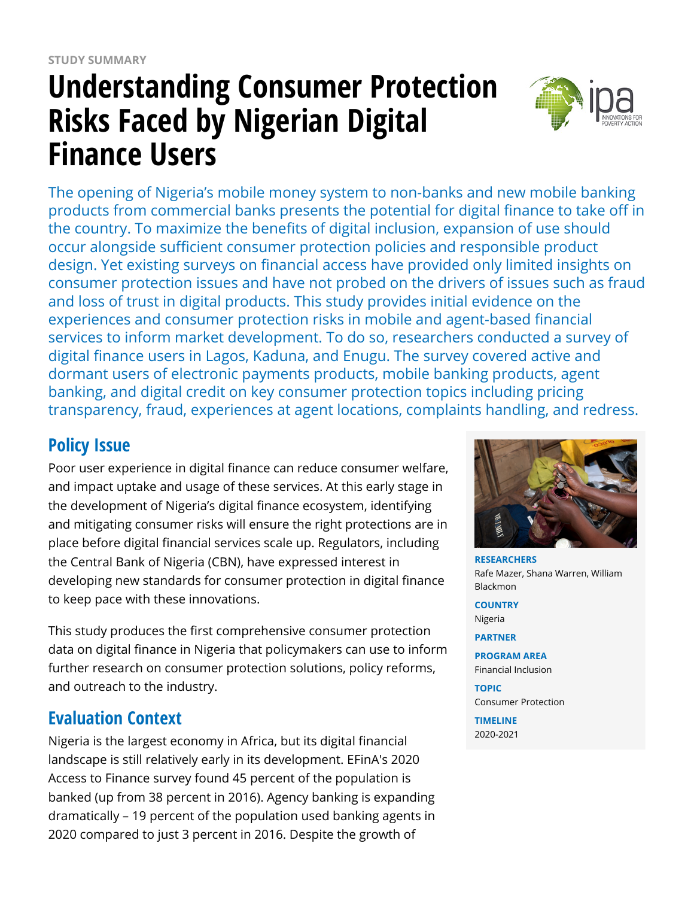# **Understanding Consumer Protection Risks Faced by Nigerian Digital Finance Users**



The opening of Nigeria's mobile money system to non-banks and new mobile banking products from commercial banks presents the potential for digital finance to take off in the country. To maximize the benefits of digital inclusion, expansion of use should occur alongside sufficient consumer protection policies and responsible product design. Yet existing surveys on financial access have provided only limited insights on consumer protection issues and have not probed on the drivers of issues such as fraud and loss of trust in digital products. This study provides initial evidence on the experiences and consumer protection risks in mobile and agent-based financial services to inform market development. To do so, researchers conducted a survey of digital finance users in Lagos, Kaduna, and Enugu. The survey covered active and dormant users of electronic payments products, mobile banking products, agent banking, and digital credit on key consumer protection topics including pricing transparency, fraud, experiences at agent locations, complaints handling, and redress.

# **Policy Issue**

Poor user experience in digital finance can reduce consumer welfare, and impact uptake and usage of these services. At this early stage in the development of Nigeria's digital finance ecosystem, identifying and mitigating consumer risks will ensure the right protections are in place before digital financial services scale up. Regulators, including the Central Bank of Nigeria (CBN), have expressed interest in developing new standards for consumer protection in digital finance to keep pace with these innovations.

This study produces the first comprehensive consumer protection data on digital finance in Nigeria that policymakers can use to inform further research on consumer protection solutions, policy reforms, and outreach to the industry.

# **Evaluation Context**

Nigeria is the largest economy in Africa, but its digital financial landscape is still relatively early in its development. EFinA's 2020 Access to Finance survey found 45 percent of the population is banked (up from 38 percent in 2016). Agency banking is expanding dramatically – 19 percent of the population used banking agents in 2020 compared to just 3 percent in 2016. Despite the growth of



**RESEARCHERS** Rafe Mazer, Shana Warren, William Blackmon

**COUNTRY** Nigeria

**PARTNER**

**PROGRAM AREA** Financial Inclusion

**TOPIC** Consumer Protection

**TIMELINE** 2020-2021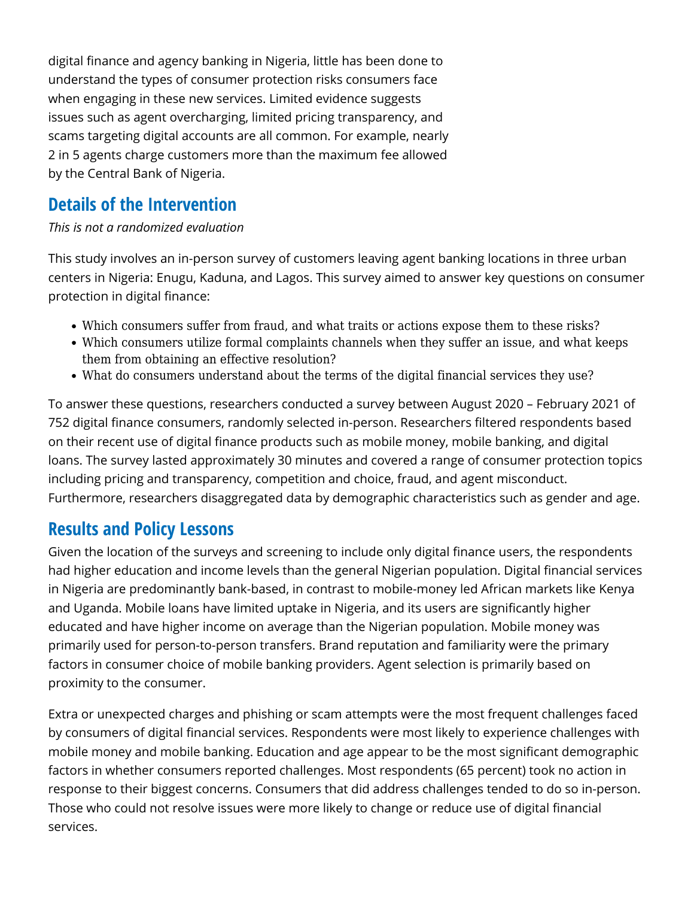digital finance and agency banking in Nigeria, little has been done to understand the types of consumer protection risks consumers face when engaging in these new services. Limited evidence suggests issues such as agent overcharging, limited pricing transparency, and scams targeting digital accounts are all common. For example, nearly 2 in 5 agents charge customers more than the maximum fee allowed by the Central Bank of Nigeria.

### **Details of the Intervention**

#### *This is not a randomized evaluation*

This study involves an in-person survey of customers leaving agent banking locations in three urban centers in Nigeria: Enugu, Kaduna, and Lagos. This survey aimed to answer key questions on consumer protection in digital finance:

- Which consumers suffer from fraud, and what traits or actions expose them to these risks?
- Which consumers utilize formal complaints channels when they suffer an issue, and what keeps them from obtaining an effective resolution?
- What do consumers understand about the terms of the digital financial services they use?

To answer these questions, researchers conducted a survey between August 2020 – February 2021 of 752 digital finance consumers, randomly selected in-person. Researchers filtered respondents based on their recent use of digital finance products such as mobile money, mobile banking, and digital loans. The survey lasted approximately 30 minutes and covered a range of consumer protection topics including pricing and transparency, competition and choice, fraud, and agent misconduct. Furthermore, researchers disaggregated data by demographic characteristics such as gender and age.

#### **Results and Policy Lessons**

Given the location of the surveys and screening to include only digital finance users, the respondents had higher education and income levels than the general Nigerian population. Digital financial services in Nigeria are predominantly bank-based, in contrast to mobile-money led African markets like Kenya and Uganda. Mobile loans have limited uptake in Nigeria, and its users are significantly higher educated and have higher income on average than the Nigerian population. Mobile money was primarily used for person-to-person transfers. Brand reputation and familiarity were the primary factors in consumer choice of mobile banking providers. Agent selection is primarily based on proximity to the consumer.

Extra or unexpected charges and phishing or scam attempts were the most frequent challenges faced by consumers of digital financial services. Respondents were most likely to experience challenges with mobile money and mobile banking. Education and age appear to be the most significant demographic factors in whether consumers reported challenges. Most respondents (65 percent) took no action in response to their biggest concerns. Consumers that did address challenges tended to do so in-person. Those who could not resolve issues were more likely to change or reduce use of digital financial services.